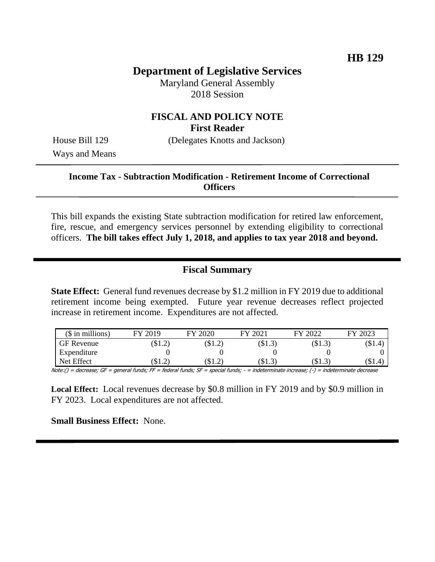# **Department of Legislative Services**

Maryland General Assembly 2018 Session

## **FISCAL AND POLICY NOTE First Reader**

House Bill 129 (Delegates Knotts and Jackson)

Ways and Means

## **Income Tax - Subtraction Modification - Retirement Income of Correctional Officers**

This bill expands the existing State subtraction modification for retired law enforcement, fire, rescue, and emergency services personnel by extending eligibility to correctional officers. **The bill takes effect July 1, 2018, and applies to tax year 2018 and beyond.** 

### **Fiscal Summary**

**State Effect:** General fund revenues decrease by \$1.2 million in FY 2019 due to additional retirement income being exempted. Future year revenue decreases reflect projected increase in retirement income. Expenditures are not affected.

| $($$ in millions) | FY 2019 | FY 2020  | 12021<br>FV | 2022<br>$\mathbf{F}\mathbf{V}$ | FY 2023  |
|-------------------|---------|----------|-------------|--------------------------------|----------|
| <b>GF</b> Revenue | \$1.2)  | \$1.2)   | \$1.3)      | \$1.3)                         | $\$1.4)$ |
| Expenditure       |         |          |             |                                |          |
| Net Effect        | (\$1.2) | $\$1.2)$ | \$1.3       | \$1.3                          | $\$1.4)$ |

Note:() = decrease; GF = general funds; FF = federal funds; SF = special funds; - = indeterminate increase; (-) = indeterminate decrease

**Local Effect:** Local revenues decrease by \$0.8 million in FY 2019 and by \$0.9 million in FY 2023. Local expenditures are not affected.

**Small Business Effect:** None.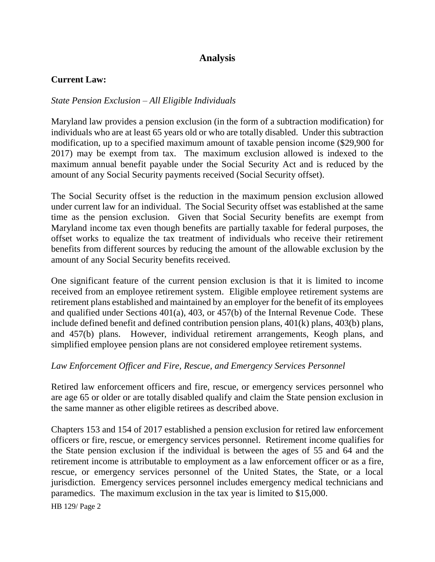# **Analysis**

## **Current Law:**

### *State Pension Exclusion – All Eligible Individuals*

Maryland law provides a pension exclusion (in the form of a subtraction modification) for individuals who are at least 65 years old or who are totally disabled. Under this subtraction modification, up to a specified maximum amount of taxable pension income (\$29,900 for 2017) may be exempt from tax. The maximum exclusion allowed is indexed to the maximum annual benefit payable under the Social Security Act and is reduced by the amount of any Social Security payments received (Social Security offset).

The Social Security offset is the reduction in the maximum pension exclusion allowed under current law for an individual. The Social Security offset was established at the same time as the pension exclusion. Given that Social Security benefits are exempt from Maryland income tax even though benefits are partially taxable for federal purposes, the offset works to equalize the tax treatment of individuals who receive their retirement benefits from different sources by reducing the amount of the allowable exclusion by the amount of any Social Security benefits received.

One significant feature of the current pension exclusion is that it is limited to income received from an employee retirement system. Eligible employee retirement systems are retirement plans established and maintained by an employer for the benefit of its employees and qualified under Sections 401(a), 403, or 457(b) of the Internal Revenue Code. These include defined benefit and defined contribution pension plans, 401(k) plans, 403(b) plans, and 457(b) plans. However, individual retirement arrangements, Keogh plans, and simplified employee pension plans are not considered employee retirement systems.

#### *Law Enforcement Officer and Fire, Rescue, and Emergency Services Personnel*

Retired law enforcement officers and fire, rescue, or emergency services personnel who are age 65 or older or are totally disabled qualify and claim the State pension exclusion in the same manner as other eligible retirees as described above.

Chapters 153 and 154 of 2017 established a pension exclusion for retired law enforcement officers or fire, rescue, or emergency services personnel. Retirement income qualifies for the State pension exclusion if the individual is between the ages of 55 and 64 and the retirement income is attributable to employment as a law enforcement officer or as a fire, rescue, or emergency services personnel of the United States, the State, or a local jurisdiction. Emergency services personnel includes emergency medical technicians and paramedics. The maximum exclusion in the tax year is limited to \$15,000.

HB 129/ Page 2